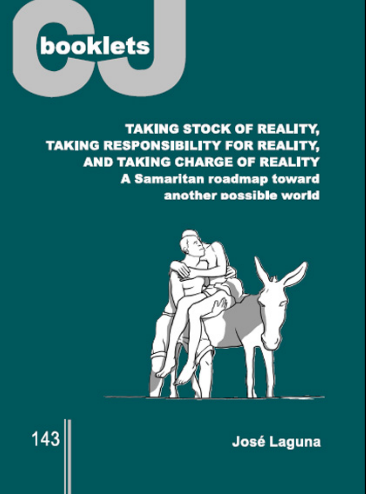

# **TAKING STOCK OF REALITY, TAKING RESPONSIBILITY FOR REALITY, AND TAKING CHARGE OF REALITY A Samaritan roadmap toward** another possible world



José Laguna

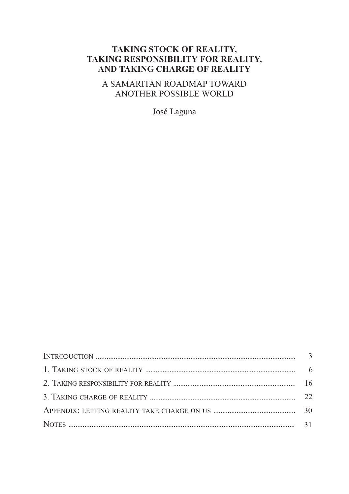# **TAKING STOCK OF REALITY, TAKING RESPONSIBILITY FOR REALITY, AND TAKING CHARGE OF REALITY**

A SAMARITAN ROADMAP TOWARD ANOTHER POSSIBLE WORLD

José Laguna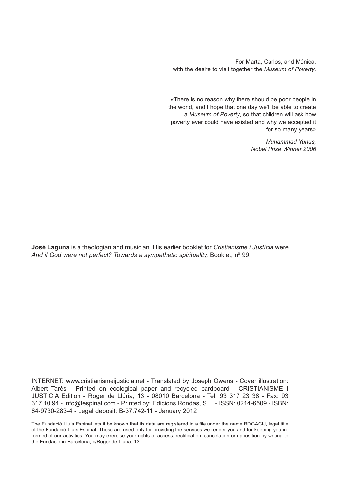For Marta, Carlos, and Mónica, with the desire to visit together the *Museum of Poverty*.

«There is no reason why there should be poor people in the world, and I hope that one day we'll be able to create a *Museum of Poverty*, so that children will ask how poverty ever could have existed and why we accepted it for so many years»

> *Muhammad Yunus, Nobel Prize Winner 2006*

**José Laguna** is a theologian and musician. His earlier booklet for *Cristianisme i Justícia* were *And if God were not perfect? Towards a sympathetic spirituality,* Booklet, nº 99.

INTERNET: www.cristianismeijusticia.net - Translated by Joseph Owens - Cover illustration: Albert Tarès - Printed on ecological paper and recycled cardboard - CRISTIANISME I JUSTÍCIA Edition - Roger de Llúria, 13 - 08010 Barcelona - Tel: 93 317 23 38 - Fax: 93 317 10 94 - info@fespinal.com - Printed by: Edicions Rondas, S.L. - ISSN: 0214-6509 - ISBN: 84-9730-283-4 - Legal deposit: B-37.742-11 - January 2012

The Fundació Lluís Espinal lets it be known that its data are registered in a file under the name BDGACIJ, legal title of the Fundació Lluís Espinal. These are used only for providing the services we render you and for keeping you informed of our activities. You may exercise your rights of access, rectification, cancelation or opposition by writing to the Fundació in Barcelona, c/Roger de Llúria, 13.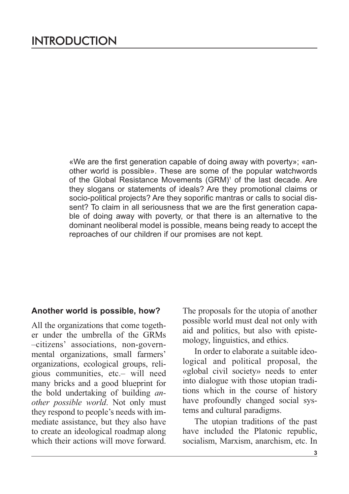«We are the first generation capable of doing away with poverty»; «another world is possible». These are some of the popular watchwords of the Global Resistance Movements (GRM) <sup>1</sup> of the last decade. Are they slogans or statements of ideals? Are they promotional claims or socio-political projects? Are they soporific mantras or calls to social dissent? To claim in all seriousness that we are the first generation capable of doing away with poverty, or that there is an alternative to the dominant neoliberal model is possible, means being ready to accept the reproaches of our children if our promises are not kept.

#### **Another world is possible, how?**

All the organizations that come together under the umbrella of the GRMs –citizens' associations, non-governmental organizations, small farmers' organizations, ecological groups, religious communities, etc.– will need many bricks and a good blueprint for the bold undertaking of building *another possible world*. Not only must they respond to people's needs with immediate assistance, but they also have to create an ideological roadmap along which their actions will move forward. The proposals for the utopia of another possible world must deal not only with aid and politics, but also with epistemology, linguistics, and ethics.

In order to elaborate a suitable ideological and political proposal, the «global civil society» needs to enter into dialogue with those utopian traditions which in the course of history have profoundly changed social systems and cultural paradigms.

The utopian traditions of the past have included the Platonic republic, socialism, Marxism, anarchism, etc. In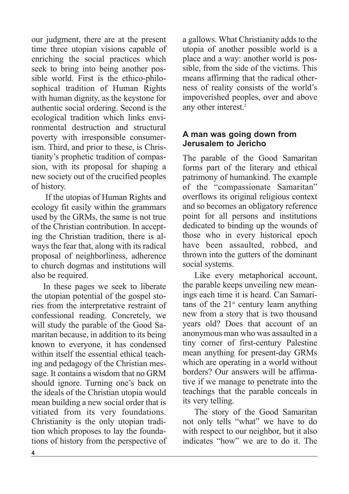our judgment, there are at the present time three utopian visions capable of enriching the social practices which seek to bring into being another possible world. First is the ethico-philosophical tradition of Human Rights with human dignity, as the keystone for authentic social ordering. Second is the ecological tradition which links environmental destruction and structural poverty with irresponsible consumerism. Third, and prior to these, is Christianity's prophetic tradition of compassion, with its proposal for shaping a new society out of the crucified peoples of history.

If the utopias of Human Rights and ecology fit easily within the grammars used by the GRMs, the same is not true of the Christian contribution. In accepting the Christian tradition, there is always the fear that, along with its radical proposal of neighborliness, adherence to church dogmas and institutions will also be required.

In these pages we seek to liberate the utopian potential of the gospel stories from the interpretative restraint of confessional reading. Concretely, we will study the parable of the Good Samaritan because, in addition to its being known to everyone, it has condensed within itself the essential ethical teaching and pedagogy of the Christian message. It contains a wisdom that no GRM should ignore. Turning one's back on the ideals of the Christian utopia would mean building a new social order that is vitiated from its very foundations. Christianity is the only utopian tradition which proposes to lay the foundations of history from the perspective of a gallows. What Christianity adds to the utopia of another possible world is a place and a way: another world is possible, from the side of the victims. This means affirming that the radical otherness of reality consists of the world's impoverished peoples, over and above any other interest. 2

# **A man was going down from Jerusalem to Jericho**

The parable of the Good Samaritan forms part of the literary and ethical patrimony of humankind. The example of the "compassionate Samaritan" overflows its original religious context and so becomes an obligatory reference point for all persons and institutions dedicated to binding up the wounds of those who in every historical epoch have been assaulted, robbed, and thrown into the gutters of the dominant social systems.

Like every metaphorical account, the parable keeps unveiling new meanings each time it is heard. Can Samaritans of the  $21<sup>st</sup>$  century learn anything new from a story that is two thousand years old? Does that account of an anonymous man who was assaulted in a tiny corner of first-century Palestine mean anything for present-day GRMs which are operating in a world without borders? Our answers will be affirmative if we manage to penetrate into the teachings that the parable conceals in its very telling.

The story of the Good Samaritan not only tells "what" we have to do with respect to our neighbor, but it also indicates "how" we are to do it. The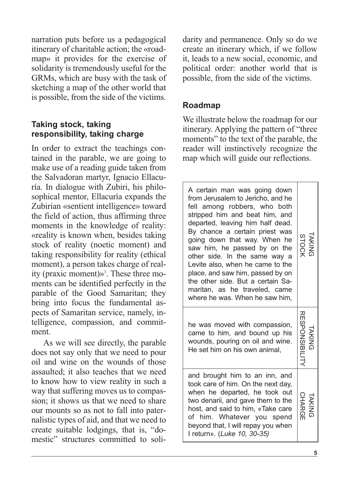narration puts before us a pedagogical itinerary of charitable action; the «roadmap» it provides for the exercise of solidarity is tremendously useful for the GRMs, which are busy with the task of sketching a map of the other world that is possible, from the side of the victims.

# **Taking stock, taking responsibility, taking charge**

In order to extract the teachings contained in the parable, we are going to make use of a reading guide taken from the Salvadoran martyr, Ignacio Ellacuría. In dialogue with Zubiri, his philosophical mentor, Ellacuría expands the Zubirian «sentient intelligence» toward the field of action, thus affirming three moments in the knowledge of reality: «reality is known when, besides taking stock of reality (noetic moment) and taking responsibility for reality (ethical moment), a person takes charge of reality (praxic moment)»<sup>3</sup>. These three moments can be identified perfectly in the parable of the Good Samaritan; they bring into focus the fundamental aspects of Samaritan service, namely, intelligence, compassion, and commitment.

As we will see directly, the parable does not say only that we need to pour oil and wine on the wounds of those assaulted; it also teaches that we need to know how to view reality in such a way that suffering moves us to compassion; it shows us that we need to share our mounts so as not to fall into paternalistic types of aid, and that we need to create suitable lodgings, that is, "domestic" structures committed to solidarity and permanence. Only so do we create an itinerary which, if we follow it, leads to a new social, economic, and political order: another world that is possible, from the side of the victims.

# **Roadmap**

We illustrate below the roadmap for our itinerary. Applying the pattern of "three moments" to the text of the parable, the reader will instinctively recognize the map which will guide our reflections.

| A certain man was going down<br>from Jerusalem to Jericho, and he<br>fell among robbers, who both<br>stripped him and beat him, and<br>departed, leaving him half dead.<br>By chance a certain priest was<br>going down that way. When he<br>saw him, he passed by on the<br>other side. In the same way a<br>Levite also, when he came to the<br>place, and saw him, passed by on<br>the other side. But a certain Sa-<br>maritan, as he traveled, came<br>where he was. When he saw him, | TAKING<br>STOCK      |
|--------------------------------------------------------------------------------------------------------------------------------------------------------------------------------------------------------------------------------------------------------------------------------------------------------------------------------------------------------------------------------------------------------------------------------------------------------------------------------------------|----------------------|
| he was moved with compassion,<br>came to him, and bound up his<br>wounds, pouring on oil and wine.<br>He set him on his own animal,                                                                                                                                                                                                                                                                                                                                                        | <b>RESPONSIBIL</b>   |
| and brought him to an inn, and<br>took care of him. On the next day,<br>when he departed, he took out<br>two denarii, and gave them to the<br>host, and said to him, «Take care<br>of him. Whatever you spend<br>beyond that, I will repay you when<br>I return». (Luke 10, 30-35)                                                                                                                                                                                                         | <b>CHARGE</b><br>IAK |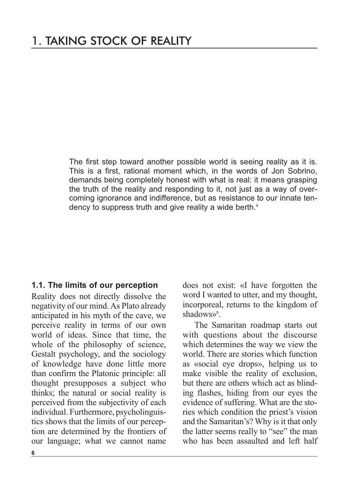The first step toward another possible world is seeing reality as it is. This is a first, rational moment which, in the words of Jon Sobrino, demands being completely honest with what is real: it means grasping the truth of the reality and responding to it, not just as a way of overcoming ignorance and indifference, but as resistance to our innate tendency to suppress truth and give reality a wide berth. 4

#### **1.1. The limits of our perception**

Reality does not directly dissolve the negativity of our mind.As Plato already anticipated in his myth of the cave, we perceive reality in terms of our own world of ideas. Since that time, the whole of the philosophy of science, Gestalt psychology, and the sociology of knowledge have done little more than confirm the Platonic principle: all thought presupposes a subject who thinks; the natural or social reality is perceived from the subjectivity of each individual. Furthermore, psycholinguistics shows that the limits of our perception are determined by the frontiers of our language; what we cannot name does not exist: «I have forgotten the word I wanted to utter, and my thought, incorporeal, returns to the kingdom of shadows»<sup>5</sup>.

The Samaritan roadmap starts out with questions about the discourse which determines the way we view the world. There are stories which function as «social eye drops», helping us to make visible the reality of exclusion, but there are others which act as blinding flashes, hiding from our eyes the evidence of suffering. What are the stories which condition the priest's vision and the Samaritan's? Why is it that only the latter seems really to "see" the man who has been assaulted and left half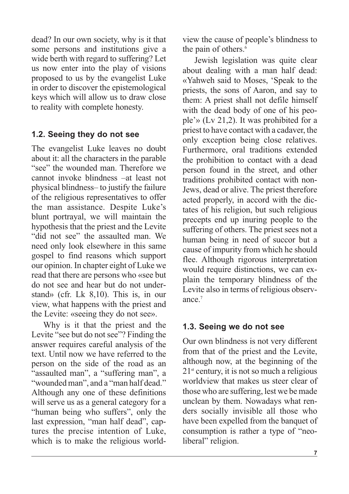dead? In our own society, why is it that some persons and institutions give a wide berth with regard to suffering? Let us now enter into the play of visions proposed to us by the evangelist Luke in order to discover the epistemological keys which will allow us to draw close to reality with complete honesty.

# **1.2. Seeing they do not see**

The evangelist Luke leaves no doubt about it: all the characters in the parable "see" the wounded man. Therefore we cannot invoke blindness –at least not physical blindness– to justify the failure of the religious representatives to offer the man assistance. Despite Luke's blunt portrayal, we will maintain the hypothesis that the priest and the Levite "did not see" the assaulted man. We need only look elsewhere in this same gospel to find reasons which support our opinion. In chapter eight of Luke we read that there are persons who «see but do not see and hear but do not understand» (cfr. Lk 8,10). This is, in our view, what happens with the priest and the Levite: «seeing they do not see».

Why is it that the priest and the Levite "see but do not see"? Finding the answer requires careful analysis of the text. Until now we have referred to the person on the side of the road as an "assaulted man", a "suffering man", a "wounded man", and a "man half dead." Although any one of these definitions will serve us as a general category for a "human being who suffers", only the last expression, "man half dead", captures the precise intention of Luke, which is to make the religious worldview the cause of people's blindness to the pain of others. 6

Jewish legislation was quite clear about dealing with a man half dead: «Yahweh said to Moses, 'Speak to the priests, the sons of Aaron, and say to them: A priest shall not defile himself with the dead body of one of his people'» (Lv 21,2). It was prohibited for a priest to have contact with a cadaver, the only exception being close relatives. Furthermore, oral traditions extended the prohibition to contact with a dead person found in the street, and other traditions prohibited contact with non-Jews, dead or alive. The priest therefore acted properly, in accord with the dictates of his religion, but such religious precepts end up inuring people to the suffering of others. The priest sees not a human being in need of succor but a cause of impurity from which he should flee. Although rigorous interpretation would require distinctions, we can explain the temporary blindness of the Levite also in terms of religious observance. 7

# **1.3. Seeing we do not see**

Our own blindness is not very different from that of the priest and the Levite, although now, at the beginning of the 21st century, it is not so much a religious worldview that makes us steer clear of those who are suffering, lest we be made unclean by them. Nowadays what renders socially invisible all those who have been expelled from the banquet of consumption is rather a type of "neoliberal" religion.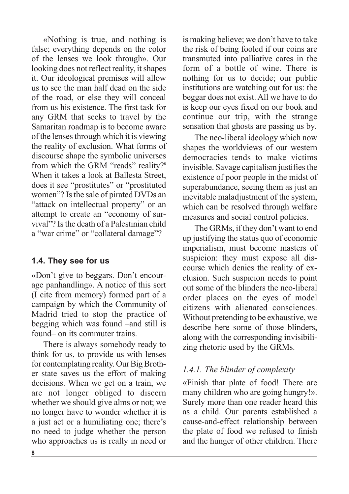«Nothing is true, and nothing is false; everything depends on the color of the lenses we look through». Our looking does not reflect reality, it shapes it. Our ideological premises will allow us to see the man half dead on the side of the road, or else they will conceal from us his existence. The first task for any GRM that seeks to travel by the Samaritan roadmap is to become aware of the lensesthrough which it is viewing the reality of exclusion. What forms of discourse shape the symbolic universes from which the GRM "reads" reality?<sup>8</sup> When it takes a look at Ballesta Street, does it see "prostitutes" or "prostituted women"? Is the sale of pirated DVDs an "attack on intellectual property" or an attempt to create an "economy of survival"? Isthe death of a Palestinian child a "war crime" or "collateral damage"?

## **1.4. They see for us**

«Don't give to beggars. Don't encourage panhandling». A notice of this sort (I cite from memory) formed part of a campaign by which the Community of Madrid tried to stop the practice of begging which was found –and still is found– on its commuter trains.

There is always somebody ready to think for us, to provide us with lenses for contemplating reality. Our Big Brother state saves us the effort of making decisions. When we get on a train, we are not longer obliged to discern whether we should give alms or not; we no longer have to wonder whether it is a just act or a humiliating one; there's no need to judge whether the person who approaches us is really in need or is making believe; we don't have to take the risk of being fooled if our coins are transmuted into palliative cares in the form of a bottle of wine. There is nothing for us to decide; our public institutions are watching out for us: the beggar does not exist. All we have to do is keep our eyes fixed on our book and continue our trip, with the strange sensation that ghosts are passing us by.

The neo-liberal ideology which now shapes the worldviews of our western democracies tends to make victims invisible. Savage capitalism justifies the existence of poor people in the midst of superabundance, seeing them as just an inevitable maladjustment of the system, which can be resolved through welfare measures and social control policies.

The GRMs, if they don't want to end up justifying the status quo of economic imperialism, must become masters of suspicion: they must expose all discourse which denies the reality of exclusion. Such suspicion needs to point out some of the blinders the neo-liberal order places on the eyes of model citizens with alienated consciences. Without pretending to be exhaustive, we describe here some of those blinders, along with the corresponding invisibilizing rhetoric used by the GRMs.

#### *1.4.1. The blinder of complexity*

«Finish that plate of food! There are many children who are going hungry!». Surely more than one reader heard this as a child. Our parents established a cause-and-effect relationship between the plate of food we refused to finish and the hunger of other children. There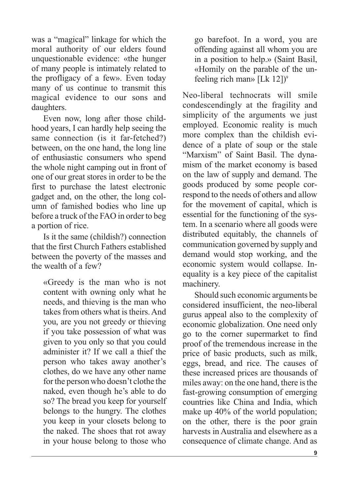was a "magical" linkage for which the moral authority of our elders found unquestionable evidence: «the hunger of many people is intimately related to the profligacy of a few». Even today many of us continue to transmit this magical evidence to our sons and daughters.

Even now, long after those childhood years, I can hardly help seeing the same connection (is it far-fetched?) between, on the one hand, the long line of enthusiastic consumers who spend the whole night camping out in front of one of our great stores in order to be the first to purchase the latest electronic gadget and, on the other, the long column of famished bodies who line up before a truck of the FAO in order to beg a portion of rice.

Is it the same (childish?) connection that the first Church Fathers established between the poverty of the masses and the wealth of a few?

«Greedy is the man who is not content with owning only what he needs, and thieving is the man who takes from others what is theirs. And you, are you not greedy or thieving if you take possession of what was given to you only so that you could administer it? If we call a thief the person who takes away another's clothes, do we have any other name forthe person who doesn't clothe the naked, even though he's able to do so? The bread you keep for yourself belongs to the hungry. The clothes you keep in your closets belong to the naked. The shoes that rot away in your house belong to those who

go barefoot. In a word, you are offending against all whom you are in a position to help.» (Saint Basil, «Homily on the parable of the unfeeling rich man» [Lk 12]) 9

Neo-liberal technocrats will smile condescendingly at the fragility and simplicity of the arguments we just employed. Economic reality is much more complex than the childish evidence of a plate of soup or the stale "Marxism" of Saint Basil. The dynamism of the market economy is based on the law of supply and demand. The goods produced by some people correspond to the needs of others and allow for the movement of capital, which is essential for the functioning of the system. In a scenario where all goods were distributed equitably, the channels of communication governed by supply and demand would stop working, and the economic system would collapse. Inequality is a key piece of the capitalist machinery.

Should such economic arguments be considered insufficient, the neo-liberal gurus appeal also to the complexity of economic globalization. One need only go to the corner supermarket to find proof of the tremendous increase in the price of basic products, such as milk, eggs, bread, and rice. The causes of these increased prices are thousands of miles away: on the one hand, there is the fast-growing consumption of emerging countries like China and India, which make up 40% of the world population; on the other, there is the poor grain harvests in Australia and elsewhere as a consequence of climate change. And as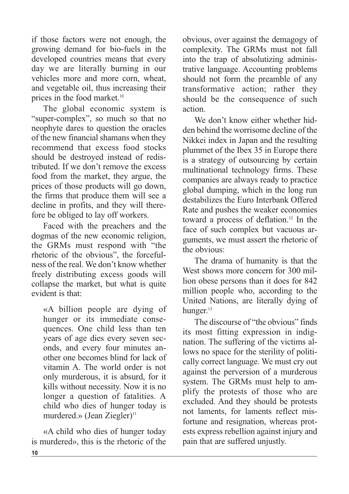if those factors were not enough, the growing demand for bio-fuels in the developed countries means that every day we are literally burning in our vehicles more and more corn, wheat, and vegetable oil, thus increasing their prices in the food market. 10

The global economic system is "super-complex", so much so that no neophyte dares to question the oracles of the new financial shamans when they recommend that excess food stocks should be destroyed instead of redistributed. If we don't remove the excess food from the market, they argue, the prices of those products will go down, the firms that produce them will see a decline in profits, and they will therefore be obliged to lay off workers.

Faced with the preachers and the dogmas of the new economic religion, the GRMs must respond with "the rhetoric of the obvious", the forcefulness of the real. We don't know whether freely distributing excess goods will collapse the market, but what is quite evident is that:

«A billion people are dying of hunger or its immediate consequences. One child less than ten years of age dies every seven seconds, and every four minutes another one becomes blind for lack of vitamin A. The world order is not only murderous, it is absurd, for it kills without necessity. Now it is no longer a question of fatalities. A child who dies of hunger today is murdered.» (Jean Ziegler) 11

«A child who dies of hunger today is murdered», this is the rhetoric of the obvious, over against the demagogy of complexity. The GRMs must not fall into the trap of absolutizing administrative language. Accounting problems should not form the preamble of any transformative action; rather they should be the consequence of such action.

We don't know either whether hidden behind the worrisome decline of the Nikkei index in Japan and the resulting plummet of the Ibex 35 in Europe there is a strategy of outsourcing by certain multinational technology firms. These companies are always ready to practice global dumping, which in the long run destabilizes the Euro Interbank Offered Rate and pushes the weaker economies toward a process of deflation. <sup>12</sup> In the face of such complex but vacuous arguments, we must assert the rhetoric of the obvious:

The drama of humanity is that the West shows more concern for 300 million obese persons than it does for 842 million people who, according to the United Nations, are literally dying of hunger. 13

The discourse of "the obvious" finds its most fitting expression in indignation. The suffering of the victims allows no space for the sterility of politically correct language. We must cry out against the perversion of a murderous system. The GRMs must help to amplify the protests of those who are excluded. And they should be protests not laments, for laments reflect misfortune and resignation, whereas protests express rebellion against injury and pain that are suffered unjustly.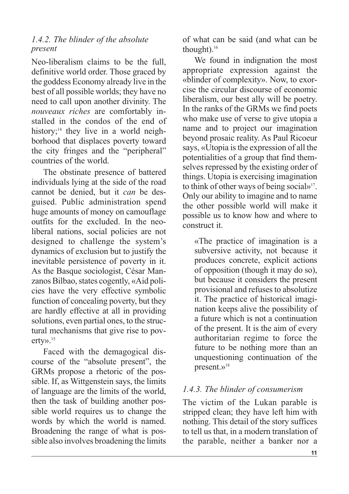#### *1.4.2. The blinder of the absolute present*

Neo-liberalism claims to be the full, definitive world order. Those graced by the goddess Economy already live in the best of all possible worlds; they have no need to call upon another divinity. The *nouveaux riches* are comfortably installed in the condos of the end of history; <sup>14</sup> they live in a world neighborhood that displaces poverty toward the city fringes and the "peripheral" countries of the world.

The obstinate presence of battered individuals lying at the side of the road cannot be denied, but it *can* be desguised. Public administration spend huge amounts of money on camouflage outfits for the excluded. In the neoliberal nations, social policies are not designed to challenge the system's dynamics of exclusion but to justify the inevitable persistence of poverty in it. As the Basque sociologist, César Manzanos Bilbao, states cogently, «Aid policies have the very effective symbolic function of concealing poverty, but they are hardly effective at all in providing solutions, even partial ones, to the structural mechanisms that give rise to poverty».15

Faced with the demagogical discourse of the "absolute present", the GRMs propose a rhetoric of the possible. If, as Wittgenstein says, the limits of language are the limits of the world, then the task of building another possible world requires us to change the words by which the world is named. Broadening the range of what is possible also involves broadening the limits of what can be said (and what can be thought). 16

We found in indignation the most appropriate expression against the «blinder of complexity». Now, to exorcise the circular discourse of economic liberalism, our best ally will be poetry. In the ranks of the GRMs we find poets who make use of verse to give utopia a name and to project our imagination beyond prosaic reality. As Paul Ricoeur says, «Utopia is the expression of all the potentialities of a group that find themselves repressed by the existing order of things. Utopia is exercising imagination to think of other ways of being social»<sup>17</sup>. Only our ability to imagine and to name the other possible world will make it possible us to know how and where to construct it.

«The practice of imagination is a subversive activity, not because it produces concrete, explicit actions of opposition (though it may do so), but because it considers the present provisional and refuses to absolutize it. The practice of historical imagination keeps alive the possibility of a future which is not a continuation of the present. It is the aim of every authoritarian regime to force the future to be nothing more than an unquestioning continuation of the present.»18

## *1.4.3. The blinder of consumerism*

The victim of the Lukan parable is stripped clean; they have left him with nothing. This detail of the story suffices to tell us that, in a modern translation of the parable, neither a banker nor a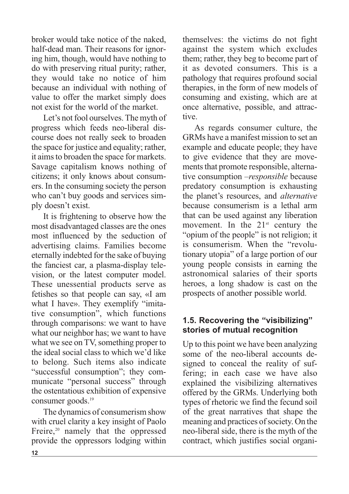broker would take notice of the naked, half-dead man. Their reasons for ignoring him, though, would have nothing to do with preserving ritual purity; rather, they would take no notice of him because an individual with nothing of value to offer the market simply does not exist for the world of the market.

Let's not fool ourselves. The myth of progress which feeds neo-liberal discourse does not really seek to broaden the space for justice and equality; rather, it aimsto broaden the space for markets. Savage capitalism knows nothing of citizens; it only knows about consumers. In the consuming society the person who can't buy goods and services simply doesn't exist.

It is frightening to observe how the most disadvantaged classes are the ones most influenced by the seduction of advertising claims. Families become eternally indebted forthe sake of buying the fanciest car, a plasma-display television, or the latest computer model. These unessential products serve as fetishes so that people can say, «I am what I have». They exemplify "imitative consumption", which functions through comparisons: we want to have what our neighbor has; we want to have what we see on TV, something proper to the ideal social class to which we'd like to belong. Such items also indicate "successful consumption"; they communicate "personal success" through the ostentatious exhibition of expensive consumer goods. 19

The dynamics of consumerism show with cruel clarity a key insight of Paolo Freire,<sup>20</sup> namely that the oppressed provide the oppressors lodging within themselves: the victims do not fight against the system which excludes them; rather, they beg to become part of it as devoted consumers. This is a pathology that requires profound social therapies, in the form of new models of consuming and existing, which are at once alternative, possible, and attractive.

As regards consumer culture, the GRMs have a manifest mission to set an example and educate people; they have to give evidence that they are movements that promote responsible, alternative consumption –*responsible* because predatory consumption is exhausting the planet's resources, and *alternative* because consumerism is a lethal arm that can be used against any liberation movement. In the  $21<sup>st</sup>$  century the "opium of the people" is not religion; it is consumerism. When the "revolutionary utopia" of a large portion of our young people consists in earning the astronomical salaries of their sports heroes, a long shadow is cast on the prospects of another possible world.

# **1.5. Recovering the "visibilizing" stories of mutual recognition**

Up to this point we have been analyzing some of the neo-liberal accounts designed to conceal the reality of suffering; in each case we have also explained the visibilizing alternatives offered by the GRMs. Underlying both types of rhetoric we find the fecund soil of the great narratives that shape the meaning and practices of society. On the neo-liberal side, there is the myth of the contract, which justifies social organi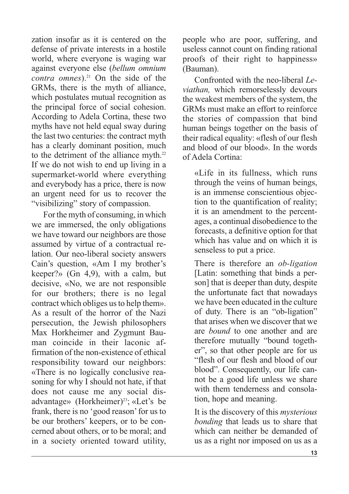zation insofar as it is centered on the defense of private interests in a hostile world, where everyone is waging war against everyone else (*bellum omnium contra omnes*). <sup>21</sup> On the side of the GRMs, there is the myth of alliance, which postulates mutual recognition as the principal force of social cohesion. According to Adela Cortina, these two myths have not held equal sway during the last two centuries: the contract myth has a clearly dominant position, much to the detriment of the alliance myth.<sup>22</sup> If we do not wish to end up living in a supermarket-world where everything and everybody has a price, there is now an urgent need for us to recover the "visibilizing" story of compassion.

For the myth of consuming, in which we are immersed, the only obligations we have toward our neighbors are those assumed by virtue of a contractual relation. Our neo-liberal society answers Cain's question, «Am I my brother's keeper?» (Gn 4,9), with a calm, but decisive, «No, we are not responsible for our brothers; there is no legal contract which obliges us to help them». As a result of the horror of the Nazi persecution, the Jewish philosophers Max Horkheimer and Zygmunt Bauman coincide in their laconic affirmation of the non-existence of ethical responsibility toward our neighbors: «There is no logically conclusive reasoning for why I should not hate, if that does not cause me any social disadvantage» (Horkheimer) 23 ; «Let's be frank, there is no 'good reason' for us to be our brothers' keepers, or to be concerned about others, or to be moral; and in a society oriented toward utility, people who are poor, suffering, and useless cannot count on finding rational proofs of their right to happiness» (Bauman).

Confronted with the neo-liberal *Leviathan,* which remorselessly devours the weakest members of the system, the GRMs must make an effort to reinforce the stories of compassion that bind human beings together on the basis of their radical equality: «flesh of our flesh and blood of our blood». In the words of Adela Cortina:

«Life in its fullness, which runs through the veins of human beings, is an immense conscientious objection to the quantification of reality; it is an amendment to the percentages, a continual disobedience to the forecasts, a definitive option for that which has value and on which it is senseless to put a price.

There is therefore an *ob-ligation* [Latin: something that binds a person] that is deeper than duty, despite the unfortunate fact that nowadays we have been educated in the culture of duty. There is an "ob-ligation" that arises when we discover that we are *bound* to one another and are therefore mutually "bound together", so that other people are for us "flesh of our flesh and blood of our blood". Consequently, our life cannot be a good life unless we share with them tenderness and consolation, hope and meaning.

It is the discovery of this *mysterious bonding* that leads us to share that which can neither be demanded of us as a right nor imposed on us as a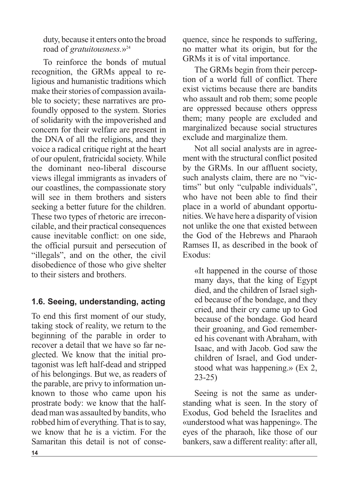duty, because it enters onto the broad road of *gratuitousness*.»<sup>24</sup>

To reinforce the bonds of mutual recognition, the GRMs appeal to religious and humanistic traditions which make their stories of compassion available to society; these narratives are profoundly opposed to the system. Stories of solidarity with the impoverished and concern for their welfare are present in the DNA of all the religions, and they voice a radical critique right at the heart of our opulent, fratricidal society. While the dominant neo-liberal discourse views illegal immigrants as invaders of our coastlines, the compassionate story will see in them brothers and sisters seeking a better future for the children. These two types of rhetoric are irreconcilable, and their practical consequences cause inevitable conflict: on one side, the official pursuit and persecution of "illegals", and on the other, the civil disobedience of those who give shelter to their sisters and brothers.

# **1.6. Seeing, understanding, acting**

To end this first moment of our study, taking stock of reality, we return to the beginning of the parable in order to recover a detail that we have so far neglected. We know that the initial protagonist was left half-dead and stripped of his belongings. But we, as readers of the parable, are privy to information unknown to those who came upon his prostrate body: we know that the halfdead man was assaulted by bandits, who robbed him of everything. That is to say, we know that he is a victim. For the Samaritan this detail is not of consequence, since he responds to suffering, no matter what its origin, but for the GRMs it is of vital importance.

The GRMs begin from their perception of a world full of conflict. There exist victims because there are bandits who assault and rob them; some people are oppressed because others oppress them; many people are excluded and marginalized because social structures exclude and marginalize them.

Not all social analysts are in agreement with the structural conflict posited by the GRMs. In our affluent society, such analysts claim, there are no "victims" but only "culpable individuals", who have not been able to find their place in a world of abundant opportunities.We have here a disparity of vision not unlike the one that existed between the God of the Hebrews and Pharaoh Ramses II, as described in the book of Exodus:

«It happened in the course of those many days, that the king of Egypt died, and the children of Israel sighed because of the bondage, and they cried, and their cry came up to God because of the bondage. God heard their groaning, and God remembered his covenant with Abraham, with Isaac, and with Jacob. God saw the children of Israel, and God understood what was happening.» (Ex 2, 23-25)

Seeing is not the same as understanding what is seen. In the story of Exodus, God beheld the Israelites and «understood what was happening». The eyes of the pharaoh, like those of our bankers, saw a different reality: after all,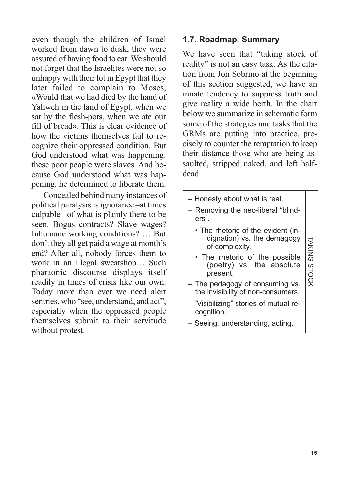even though the children of Israel worked from dawn to dusk, they were assured of having food to eat.We should not forget that the Israelites were not so unhappy with their lot in Egypt that they later failed to complain to Moses. «Would that we had died by the hand of Yahweh in the land of Egypt, when we sat by the flesh-pots, when we ate our fill of bread». This is clear evidence of how the victims themselves fail to recognize their oppressed condition. But God understood what was happening: these poor people were slaves. And because God understood what was happening, he determined to liberate them.

Concealed behind many instances of political paralysis is ignorance –at times culpable– of what is plainly there to be seen. Bogus contracts? Slave wages? Inhumane working conditions? … But don't they all get paid a wage at month's end? After all, nobody forces them to work in an illegal sweatshop… Such pharaonic discourse displays itself readily in times of crisis like our own. Today more than ever we need alert sentries, who "see, understand, and act", especially when the oppressed people themselves submit to their servitude without protest.

# **1.7. Roadmap. Summary**

We have seen that "taking stock of reality" is not an easy task. As the citation from Jon Sobrino at the beginning of this section suggested, we have an innate tendency to suppress truth and give reality a wide berth. In the chart below we summarize in schematic form some of the strategies and tasks that the GRMs are putting into practice, precisely to counter the temptation to keep their distance those who are being assaulted, stripped naked, and left halfdead.

– Honesty about what is real. – Removing the neo-liberal "blinders". • The rhetoric of the evident (indignation) vs. the demagogy of complexity. • The rhetoric of the possible (poetry) vs. the absolute present. – The pedagogy of consuming vs. the invisibility of non-consumers. – "Visibilizing" stories of mutual recognition. – Seeing, understanding, acting. TA KIN G S T O C K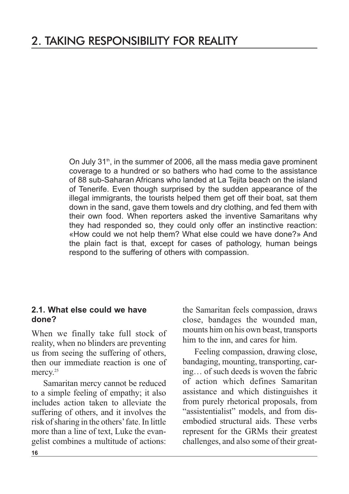On July 31<sup>th</sup>, in the summer of 2006, all the mass media gave prominent coverage to a hundred or so bathers who had come to the assistance of 88 sub-Saharan Africans who landed at La Tejita beach on the island of Tenerife. Even though surprised by the sudden appearance of the illegal immigrants, the tourists helped them get off their boat, sat them down in the sand, gave them towels and dry clothing, and fed them with their own food. When reporters asked the inventive Samaritans why they had responded so, they could only offer an instinctive reaction: «How could we not help them? What else could we have done?» And the plain fact is that, except for cases of pathology, human beings respond to the suffering of others with compassion.

#### **2.1. What else could we have done?**

When we finally take full stock of reality, when no blinders are preventing us from seeing the suffering of others, then our immediate reaction is one of mercy.<sup>25</sup>

Samaritan mercy cannot be reduced to a simple feeling of empathy; it also includes action taken to alleviate the suffering of others, and it involves the risk of sharing in the others' fate. In little more than a line of text, Luke the evangelist combines a multitude of actions: the Samaritan feels compassion, draws close, bandages the wounded man, mounts him on his own beast, transports him to the inn, and cares for him.

Feeling compassion, drawing close, bandaging, mounting, transporting, caring… of such deeds is woven the fabric of action which defines Samaritan assistance and which distinguishes it from purely rhetorical proposals, from "assistentialist" models, and from disembodied structural aids. These verbs represent for the GRMs their greatest challenges, and also some of their great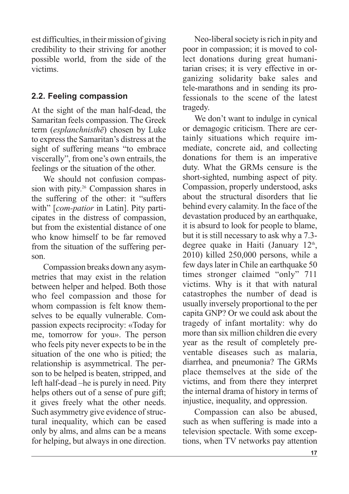est difficulties, in their mission of giving credibility to their striving for another possible world, from the side of the victims.

# **2.2. Feeling compassion**

At the sight of the man half-dead, the Samaritan feels compassion. The Greek term (*esplanchnisthē*) chosen by Luke to expressthe Samaritan's distress at the sight of suffering means "to embrace viscerally", from one's own entrails, the feelings or the situation of the other.

We should not confusion compassion with pity. <sup>26</sup> Compassion shares in the suffering of the other: it "suffers with" [*com-patior* in Latin]. Pity participates in the distress of compassion, but from the existential distance of one who know himself to be far removed from the situation of the suffering person.

Compassion breaks down any asymmetries that may exist in the relation between helper and helped. Both those who feel compassion and those for whom compassion is felt know themselves to be equally vulnerable. Compassion expects reciprocity: «Today for me, tomorrow for you». The person who feels pity never expects to be in the situation of the one who is pitied; the relationship is asymmetrical. The person to be helped is beaten, stripped, and left half-dead –he is purely in need. Pity helps others out of a sense of pure gift; it gives freely what the other needs. Such asymmetry give evidence of structural inequality, which can be eased only by alms, and alms can be a means for helping, but always in one direction.

Neo-liberal society is rich in pity and poor in compassion; it is moved to collect donations during great humanitarian crises; it is very effective in organizing solidarity bake sales and tele-marathons and in sending its professionals to the scene of the latest tragedy.

We don't want to indulge in cynical or demagogic criticism. There are certainly situations which require immediate, concrete aid, and collecting donations for them is an imperative duty. What the GRMs censure is the short-sighted, numbing aspect of pity. Compassion, properly understood, asks about the structural disorders that lie behind every calamity. In the face of the devastation produced by an earthquake, it is absurd to look for people to blame, but it is still necessary to ask why a 7.3 degree quake in Haiti (January 12<sup>th</sup>, 2010) killed 250,000 persons, while a few days later in Chile an earthquake 50 times stronger claimed "only" 711 victims. Why is it that with natural catastrophes the number of dead is usually inversely proportional to the per capita GNP? Or we could ask about the tragedy of infant mortality: why do more than six million children die every year as the result of completely preventable diseases such as malaria, diarrhea, and pneumonia? The GRMs place themselves at the side of the victims, and from there they interpret the internal drama of history in terms of injustice, inequality, and oppression.

Compassion can also be abused, such as when suffering is made into a television spectacle. With some exceptions, when TV networks pay attention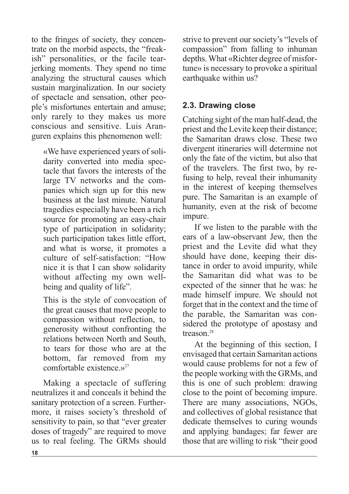to the fringes of society, they concentrate on the morbid aspects, the "freakish" personalities, or the facile tearjerking moments. They spend no time analyzing the structural causes which sustain marginalization. In our society of spectacle and sensation, other people's misfortunes entertain and amuse; only rarely to they makes us more conscious and sensitive. Luis Aranguren explains this phenomenon well:

«We have experienced years of solidarity converted into media spectacle that favors the interests of the large TV networks and the companies which sign up for this new business at the last minute. Natural tragedies especially have been a rich source for promoting an easy-chair type of participation in solidarity; such participation takes little effort, and what is worse, it promotes a culture of self-satisfaction: "How nice it is that I can show solidarity without affecting my own wellbeing and quality of life".

This is the style of convocation of the great causes that move people to compassion without reflection, to generosity without confronting the relations between North and South, to tears for those who are at the bottom, far removed from my comfortable existence  $v^{27}$ 

Making a spectacle of suffering neutralizes it and conceals it behind the sanitary protection of a screen. Furthermore, it raises society's threshold of sensitivity to pain, so that "ever greater doses of tragedy" are required to move us to real feeling. The GRMs should strive to prevent our society's "levels of compassion" from falling to inhuman depths.What «Richter degree of misfortune» is necessary to provoke a spiritual earthquake within us?

# **2.3. Drawing close**

Catching sight of the man half-dead, the priest and the Levite keep their distance; the Samaritan draws close. These two divergent itineraries will determine not only the fate of the victim, but also that of the travelers. The first two, by refusing to help, reveal their inhumanity in the interest of keeping themselves pure. The Samaritan is an example of humanity, even at the risk of become impure.

If we listen to the parable with the ears of a law-observant Jew, then the priest and the Levite did what they should have done, keeping their distance in order to avoid impurity, while the Samaritan did what was to be expected of the sinner that he was: he made himself impure. We should not forget that in the context and the time of the parable, the Samaritan was considered the prototype of apostasy and treason. 28

At the beginning of this section, I envisaged that certain Samaritan actions would cause problems for not a few of the people working with the GRMs, and this is one of such problem: drawing close to the point of becoming impure. There are many associations, NGOs, and collectives of global resistance that dedicate themselves to curing wounds and applying bandages; far fewer are those that are willing to risk "their good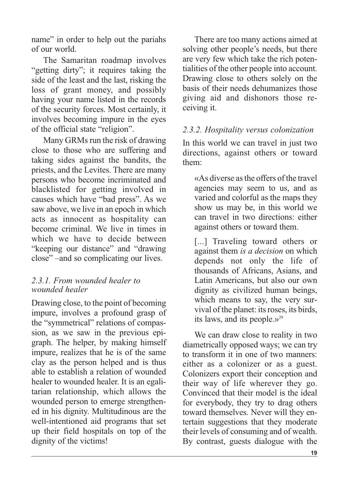name" in order to help out the pariahs of our world.

The Samaritan roadmap involves "getting dirty"; it requires taking the side of the least and the last, risking the loss of grant money, and possibly having your name listed in the records of the security forces. Most certainly, it involves becoming impure in the eyes of the official state "religion".

Many GRMs run the risk of drawing close to those who are suffering and taking sides against the bandits, the priests, and the Levites. There are many persons who become incriminated and blacklisted for getting involved in causes which have "bad press". As we saw above, we live in an epoch in which acts as innocent as hospitality can become criminal. We live in times in which we have to decide between "keeping our distance" and "drawing close" –and so complicating our lives.

# *2.3.1. From wounded healer to wounded healer*

Drawing close, to the point of becoming impure, involves a profound grasp of the "symmetrical" relations of compassion, as we saw in the previous epigraph. The helper, by making himself impure, realizes that he is of the same clay as the person helped and is thus able to establish a relation of wounded healer to wounded healer. It is an egalitarian relationship, which allows the wounded person to emerge strengthened in his dignity. Multitudinous are the well-intentioned aid programs that set up their field hospitals on top of the dignity of the victims!

There are too many actions aimed at solving other people's needs, but there are very few which take the rich potentialities of the other people into account. Drawing close to others solely on the basis of their needs dehumanizes those giving aid and dishonors those receiving it.

# *2.3.2. Hospitality versus colonization*

In this world we can travel in just two directions, against others or toward them:

«As diverse asthe offers ofthe travel agencies may seem to us, and as varied and colorful as the maps they show us may be, in this world we can travel in two directions: either against others or toward them.

[...] Traveling toward others or against them *is a decision* on which depends not only the life of thousands of Africans, Asians, and Latin Americans, but also our own dignity as civilized human beings, which means to say, the very survival of the planet: its roses, its birds, its laws, and its people. $v^{29}$ 

We can draw close to reality in two diametrically opposed ways; we can try to transform it in one of two manners: either as a colonizer or as a guest. Colonizers export their conception and their way of life wherever they go. Convinced that their model is the ideal for everybody, they try to drag others toward themselves. Never will they entertain suggestions that they moderate their levels of consuming and of wealth. By contrast, guests dialogue with the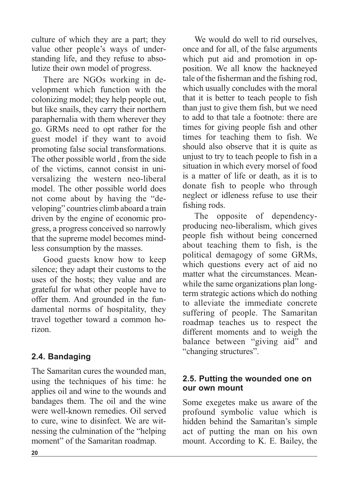culture of which they are a part; they value other people's ways of understanding life, and they refuse to absolutize their own model of progress.

There are NGOs working in development which function with the colonizing model; they help people out, but like snails, they carry their northern paraphernalia with them wherever they go. GRMs need to opt rather for the guest model if they want to avoid promoting false social transformations. The other possible world , from the side of the victims, cannot consist in universalizing the western neo-liberal model. The other possible world does not come about by having the "developing" countries climb aboard a train driven by the engine of economic progress, a progress conceived so narrowly that the supreme model becomes mindless consumption by the masses.

Good guests know how to keep silence; they adapt their customs to the uses of the hosts; they value and are grateful for what other people have to offer them. And grounded in the fundamental norms of hospitality, they travel together toward a common horizon.

# **2.4. Bandaging**

The Samaritan cures the wounded man, using the techniques of his time: he applies oil and wine to the wounds and bandages them. The oil and the wine were well-known remedies. Oil served to cure, wine to disinfect. We are witnessing the culmination of the "helping moment" of the Samaritan roadmap.

We would do well to rid ourselves. once and for all, of the false arguments which put aid and promotion in opposition. We all know the hackneyed tale of the fisherman and the fishing rod, which usually concludes with the moral that it is better to teach people to fish than just to give them fish, but we need to add to that tale a footnote: there are times for giving people fish and other times for teaching them to fish. We should also observe that it is quite as unjust to try to teach people to fish in a situation in which every morsel of food is a matter of life or death, as it is to donate fish to people who through neglect or idleness refuse to use their fishing rods.

The opposite of dependencyproducing neo-liberalism, which gives people fish without being concerned about teaching them to fish, is the political demagogy of some GRMs, which questions every act of aid no matter what the circumstances. Meanwhile the same organizations plan longterm strategic actions which do nothing to alleviate the immediate concrete suffering of people. The Samaritan roadmap teaches us to respect the different moments and to weigh the balance between "giving aid" and "changing structures".

## **2.5. Putting the wounded one on our own mount**

Some exegetes make us aware of the profound symbolic value which is hidden behind the Samaritan's simple act of putting the man on his own mount. According to K. E. Bailey, the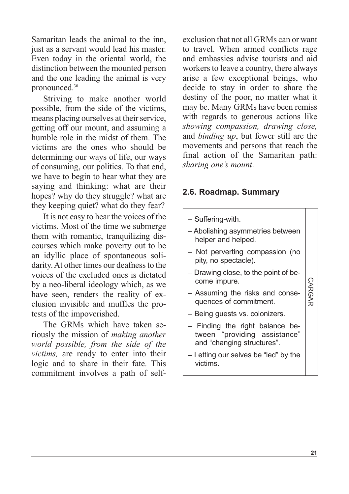Samaritan leads the animal to the inn, just as a servant would lead his master. Even today in the oriental world, the distinction between the mounted person and the one leading the animal is very pronounced. 30

Striving to make another world possible, from the side of the victims, means placing ourselves at their service. getting off our mount, and assuming a humble role in the midst of them. The victims are the ones who should be determining our ways of life, our ways of consuming, our politics. To that end, we have to begin to hear what they are saying and thinking: what are their hopes? why do they struggle? what are they keeping quiet? what do they fear?

It is not easy to hear the voices of the victims. Most of the time we submerge them with romantic, tranquilizing discourses which make poverty out to be an idyllic place of spontaneous solidarity. At other times our deafness to the voices of the excluded ones is dictated by a neo-liberal ideology which, as we have seen, renders the reality of exclusion invisible and muffles the protests of the impoverished.

The GRMs which have taken seriously the mission of *making another world possible, from the side of the victims,* are ready to enter into their logic and to share in their fate. This commitment involves a path of selfexclusion that not all GRMs can or want to travel. When armed conflicts rage and embassies advise tourists and aid workers to leave a country, there always arise a few exceptional beings, who decide to stay in order to share the destiny of the poor, no matter what it may be. Many GRMs have been remiss with regards to generous actions like *showing compassion, drawing close,* and *binding up*, but fewer still are the movements and persons that reach the final action of the Samaritan path: *sharing one's mount*.

# **2.6. Roadmap. Summary**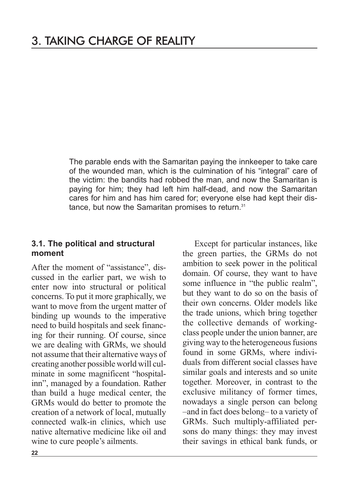The parable ends with the Samaritan paying the innkeeper to take care of the wounded man, which is the culmination of his "integral" care of the victim: the bandits had robbed the man, and now the Samaritan is paying for him; they had left him half-dead, and now the Samaritan cares for him and has him cared for; everyone else had kept their distance, but now the Samaritan promises to return. 31

## **3.1. The political and structural moment**

After the moment of "assistance", discussed in the earlier part, we wish to enter now into structural or political concerns. To put it more graphically, we want to move from the urgent matter of binding up wounds to the imperative need to build hospitals and seek financing for their running. Of course, since we are dealing with GRMs, we should not assume that their alternative ways of creating another possible world will culminate in some magnificent "hospitalinn", managed by a foundation. Rather than build a huge medical center, the GRMs would do better to promote the creation of a network of local, mutually connected walk-in clinics, which use native alternative medicine like oil and wine to cure people's ailments.

Except for particular instances, like the green parties, the GRMs do not ambition to seek power in the political domain. Of course, they want to have some influence in "the public realm", but they want to do so on the basis of their own concerns. Older models like the trade unions, which bring together the collective demands of workingclass people under the union banner, are giving way to the heterogeneousfusions found in some GRMs, where individuals from different social classes have similar goals and interests and so unite together. Moreover, in contrast to the exclusive militancy of former times, nowadays a single person can belong –and in fact does belong– to a variety of GRMs. Such multiply-affiliated persons do many things: they may invest their savings in ethical bank funds, or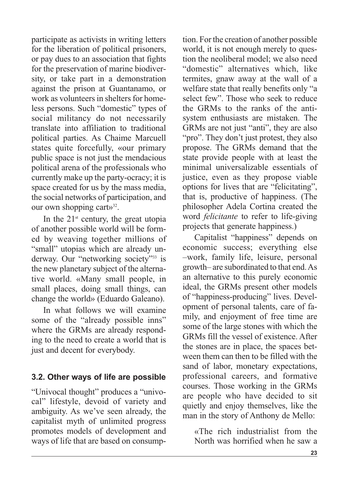participate as activists in writing letters for the liberation of political prisoners, or pay dues to an association that fights for the preservation of marine biodiversity, or take part in a demonstration against the prison at Guantanamo, or work as volunteers in shelters for homeless persons. Such "domestic" types of social militancy do not necessarily translate into affiliation to traditional political parties. As Chaime Marcuell states quite forcefully, «our primary public space is not just the mendacious political arena of the professionals who currently make up the party-ocracy; it is space created for us by the mass media, the social networks of participation, and our own shopping cart»<sup>32</sup>.

In the  $21<sup>st</sup>$  century, the great utopia of another possible world will be formed by weaving together millions of "small" utopias which are already underway. Our "networking society"<sup>33</sup> is the new planetary subject of the alternative world. «Many small people, in small places, doing small things, can change the world» (Eduardo Galeano).

In what follows we will examine some of the "already possible inns" where the GRMs are already responding to the need to create a world that is just and decent for everybody.

# **3.2. Other ways of life are possible**

"Univocal thought" produces a "univocal" lifestyle, devoid of variety and ambiguity. As we've seen already, the capitalist myth of unlimited progress promotes models of development and ways of life that are based on consumption. Forthe creation of another possible world, it is not enough merely to question the neoliberal model; we also need "domestic" alternatives which, like termites, gnaw away at the wall of a welfare state that really benefits only "a select few". Those who seek to reduce the GRMs to the ranks of the antisystem enthusiasts are mistaken. The GRMs are not just "anti", they are also "pro". They don't just protest, they also propose. The GRMs demand that the state provide people with at least the minimal universalizable essentials of justice, even as they propose viable options for lives that are "felicitating", that is, productive of happiness. (The philosopher Adela Cortina created the word *felicitante* to refer to life-giving projects that generate happiness.)

Capitalist "happiness" depends on economic success; everything else –work, family life, leisure, personal growth– are subordinated to that end.As an alternative to this purely economic ideal, the GRMs present other models of "happiness-producing" lives. Development of personal talents, care of family, and enjoyment of free time are some of the large stones with which the GRMs fill the vessel of existence. After the stones are in place, the spaces between them can then to be filled with the sand of labor, monetary expectations, professional careers, and formative courses. Those working in the GRMs are people who have decided to sit quietly and enjoy themselves, like the man in the story of Anthony de Mello:

«The rich industrialist from the North was horrified when he saw a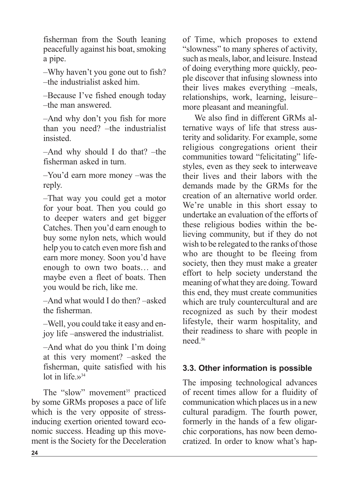fisherman from the South leaning peacefully against his boat, smoking a pipe.

–Why haven't you gone out to fish? –the industrialist asked him.

–Because I've fished enough today –the man answered.

–And why don't you fish for more than you need? –the industrialist insisted.

–And why should I do that? –the fisherman asked in turn.

–You'd earn more money –was the reply.

–That way you could get a motor for your boat. Then you could go to deeper waters and get bigger Catches. Then you'd earn enough to buy some nylon nets, which would help you to catch even more fish and earn more money. Soon you'd have enough to own two boats… and maybe even a fleet of boats. Then you would be rich, like me.

–And what would I do then? –asked the fisherman.

–Well, you could take it easy and enjoy life –answered the industrialist.

–And what do you think I'm doing at this very moment? –asked the fisherman, quite satisfied with his lot in life. $v^{34}$ 

The "slow" movement <sup>35</sup> practiced by some GRMs proposes a pace of life which is the very opposite of stressinducing exertion oriented toward economic success. Heading up this movement is the Society for the Deceleration of Time, which proposes to extend "slowness" to many spheres of activity, such as meals, labor, and leisure. Instead of doing everything more quickly, people discover that infusing slowness into their lives makes everything –meals, relationships, work, learning, leisure– more pleasant and meaningful.

We also find in different GRMs alternative ways of life that stress austerity and solidarity. For example, some religious congregations orient their communities toward "felicitating" lifestyles, even as they seek to interweave their lives and their labors with the demands made by the GRMs for the creation of an alternative world order. We're unable in this short essay to undertake an evaluation of the efforts of these religious bodies within the believing community, but if they do not wish to be relegated to the ranks of those who are thought to be fleeing from society, then they must make a greater effort to help society understand the meaning of what they are doing.Toward this end, they must create communities which are truly countercultural and are recognized as such by their modest lifestyle, their warm hospitality, and their readiness to share with people in need. 36

# **3.3. Other information is possible**

The imposing technological advances of recent times allow for a fluidity of communication which places us in a new cultural paradigm. The fourth power, formerly in the hands of a few oligarchic corporations, has now been democratized. In order to know what's hap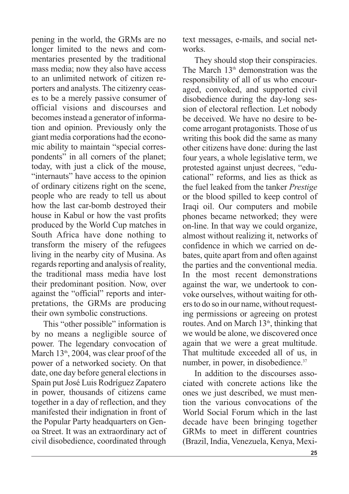pening in the world, the GRMs are no longer limited to the news and commentaries presented by the traditional mass media; now they also have access to an unlimited network of citizen reporters and analysts. The citizenry ceases to be a merely passive consumer of official visions and discourses and becomes instead a generator of information and opinion. Previously only the giant media corporations had the economic ability to maintain "special correspondents" in all corners of the planet; today, with just a click of the mouse, "internauts" have access to the opinion of ordinary citizens right on the scene, people who are ready to tell us about how the last car-bomb destroyed their house in Kabul or how the vast profits produced by the World Cup matches in South Africa have done nothing to transform the misery of the refugees living in the nearby city of Musina. As regards reporting and analysis of reality, the traditional mass media have lost their predominant position. Now, over against the "official" reports and interpretations, the GRMs are producing their own symbolic constructions.

This "other possible" information is by no means a negligible source of power. The legendary convocation of March  $13<sup>th</sup>$ , 2004, was clear proof of the power of a networked society. On that date, one day before general elections in Spain putJosé Luis Rodríguez Zapatero in power, thousands of citizens came together in a day of reflection, and they manifested their indignation in front of the Popular Party headquarters on Genoa Street. It was an extraordinary act of civil disobedience, coordinated through text messages, e-mails, and social networks.

They should stop their conspiracies. The March  $13<sup>th</sup>$  demonstration was the responsibility of all of us who encouraged, convoked, and supported civil disobedience during the day-long session of electoral reflection. Let nobody be deceived. We have no desire to become arrogant protagonists. Those of us writing this book did the same as many other citizens have done: during the last four years, a whole legislative term, we protested against unjust decrees, "educational" reforms, and lies as thick as the fuel leaked from the tanker *Prestige* or the blood spilled to keep control of Iraqi oil. Our computers and mobile phones became networked; they were on-line. In that way we could organize, almost without realizing it, networks of confidence in which we carried on debates, quite apart from and often against the parties and the conventional media. In the most recent demonstrations against the war, we undertook to convoke ourselves, without waiting for others to do so in our name, without requesting permissions or agreeing on protest routes. And on March 13<sup>th</sup>, thinking that we would be alone, we discovered once again that we were a great multitude. That multitude exceeded all of us, in number, in power, in disobedience.<sup>37</sup>

In addition to the discourses associated with concrete actions like the ones we just described, we must mention the various convocations of the World Social Forum which in the last decade have been bringing together GRMs to meet in different countries (Brazil, India, Venezuela, Kenya, Mexi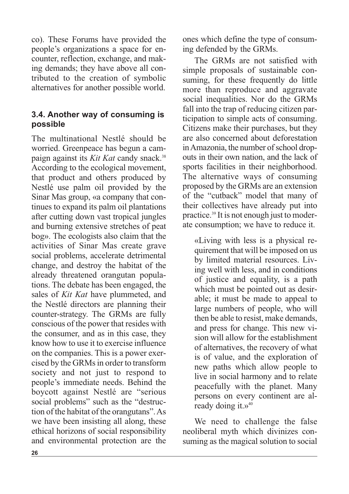co). These Forums have provided the people's organizations a space for encounter, reflection, exchange, and making demands; they have above all contributed to the creation of symbolic alternatives for another possible world.

# **3.4. Another way of consuming is possible**

The multinational Nestlé should be worried. Greenpeace has begun a campaign against its *Kit Kat* candy snack. 38 According to the ecological movement, that product and others produced by Nestlé use palm oil provided by the Sinar Mas group, «a company that continues to expand its palm oil plantations after cutting down vast tropical jungles and burning extensive stretches of peat bog». The ecologists also claim that the activities of Sinar Mas create grave social problems, accelerate detrimental change, and destroy the habitat of the already threatened orangutan populations. The debate has been engaged, the sales of *Kit Kat* have plummeted, and the Nestlé directors are planning their counter-strategy. The GRMs are fully conscious of the power that resides with the consumer, and as in this case, they know how to use it to exercise influence on the companies. This is a power exercised by the GRMsin order to transform society and not just to respond to people's immediate needs. Behind the boycott against Nestlé are "serious social problems" such as the "destruction of the habitat of the orangutans".As we have been insisting all along, these ethical horizons of social responsibility and environmental protection are the ones which define the type of consuming defended by the GRMs.

The GRMs are not satisfied with simple proposals of sustainable consuming, for these frequently do little more than reproduce and aggravate social inequalities. Nor do the GRMs fall into the trap of reducing citizen participation to simple acts of consuming. Citizens make their purchases, but they are also concerned about deforestation in Amazonia, the number of school dropouts in their own nation, and the lack of sports facilities in their neighborhood. The alternative ways of consuming proposed by the GRMs are an extension of the "cutback" model that many of their collectives have already put into practice. <sup>39</sup> It is not enough just to moderate consumption; we have to reduce it.

«Living with less is a physical requirement that will be imposed on us by limited material resources. Living well with less, and in conditions of justice and equality, is a path which must be pointed out as desirable; it must be made to appeal to large numbers of people, who will then be able to resist, make demands, and press for change. This new vision will allow for the establishment of alternatives, the recovery of what is of value, and the exploration of new paths which allow people to live in social harmony and to relate peacefully with the planet. Many persons on every continent are already doing it. $v^{40}$ 

We need to challenge the false neoliberal myth which divinizes consuming as the magical solution to social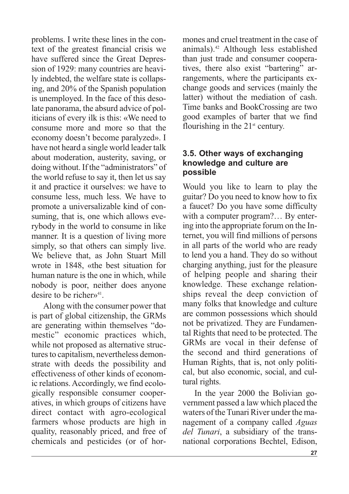problems. I write these lines in the context of the greatest financial crisis we have suffered since the Great Depression of 1929: many countries are heavily indebted, the welfare state is collapsing, and 20% of the Spanish population is unemployed. In the face of this desolate panorama, the absurd advice of politicians of every ilk is this: «We need to consume more and more so that the economy doesn't become paralyzed». I have not heard a single world leader talk about moderation, austerity, saving, or doing without. If the "administrators" of the world refuse to say it, then let us say it and practice it ourselves: we have to consume less, much less. We have to promote a universalizable kind of consuming, that is, one which allows everybody in the world to consume in like manner. It is a question of living more simply, so that others can simply live. We believe that, as John Stuart Mill wrote in 1848, «the best situation for human nature is the one in which, while nobody is poor, neither does anyone desire to be richer $\nu$ <sup>41</sup>.

Along with the consumer power that is part of global citizenship, the GRMs are generating within themselves "domestic" economic practices which, while not proposed as alternative structures to capitalism, nevertheless demonstrate with deeds the possibility and effectiveness of other kinds of economic relations.Accordingly, we find ecologically responsible consumer cooperatives, in which groups of citizens have direct contact with agro-ecological farmers whose products are high in quality, reasonably priced, and free of chemicals and pesticides (or of hormones and cruel treatment in the case of animals). <sup>42</sup> Although less established than just trade and consumer cooperatives, there also exist "bartering" arrangements, where the participants exchange goods and services (mainly the latter) without the mediation of cash. Time banks and BookCrossing are two good examples of barter that we find flourishing in the  $21<sup>st</sup>$  century.

#### **3.5. Other ways of exchanging knowledge and culture are possible**

Would you like to learn to play the guitar? Do you need to know how to fix a faucet? Do you have some difficulty with a computer program?... By entering into the appropriate forum on the Internet, you will find millions of persons in all parts of the world who are ready to lend you a hand. They do so without charging anything, just for the pleasure of helping people and sharing their knowledge. These exchange relationships reveal the deep conviction of many folks that knowledge and culture are common possessions which should not be privatized. They are Fundamental Rights that need to be protected. The GRMs are vocal in their defense of the second and third generations of Human Rights, that is, not only political, but also economic, social, and cultural rights.

In the year 2000 the Bolivian government passed a law which placed the waters of the Tunari River under the management of a company called *Aguas del Tunari*, a subsidiary of the transnational corporations Bechtel, Edison,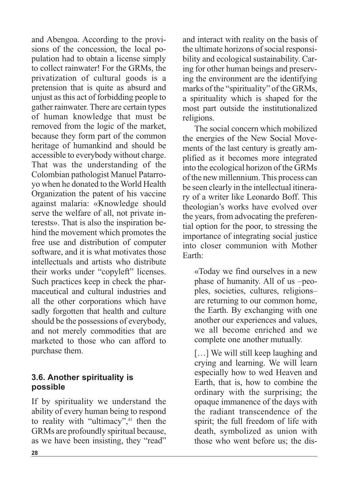and Abengoa. According to the provisions of the concession, the local population had to obtain a license simply to collect rainwater! For the GRMs, the privatization of cultural goods is a pretension that is quite as absurd and unjust asthis act of forbidding people to gather rainwater. There are certain types of human knowledge that must be removed from the logic of the market, because they form part of the common heritage of humankind and should be accessible to everybody without charge. That was the understanding of the Colombian pathologist Manuel Patarroyo when he donated to the World Health Organization the patent of his vaccine against malaria: «Knowledge should serve the welfare of all, not private interests». That is also the inspiration behind the movement which promotes the free use and distribution of computer software, and it is what motivates those intellectuals and artists who distribute their works under "copyleft" licenses. Such practices keep in check the pharmaceutical and cultural industries and all the other corporations which have sadly forgotten that health and culture should be the possessions of everybody, and not merely commodities that are marketed to those who can afford to purchase them.

# **3.6. Another spirituality is possible**

If by spirituality we understand the ability of every human being to respond to reality with "ultimacy", <sup>43</sup> then the GRMs are profoundly spiritual because, as we have been insisting, they "read"

and interact with reality on the basis of the ultimate horizons of social responsibility and ecological sustainability. Caring for other human beings and preserving the environment are the identifying marks of the "spirituality" of the GRMs, a spirituality which is shaped for the most part outside the institutionalized religions.

The social concern which mobilized the energies of the New Social Movements of the last century is greatly amplified as it becomes more integrated into the ecological horizon of the GRMs ofthe new millennium.This process can be seen clearly in the intellectual itinerary of a writer like Leonardo Boff. This theologian's works have evolved over the years, from advocating the preferential option for the poor, to stressing the importance of integrating social justice into closer communion with Mother Earth:

«Today we find ourselves in a new phase of humanity. All of us –peoples, societies, cultures, religions– are returning to our common home, the Earth. By exchanging with one another our experiences and values, we all become enriched and we complete one another mutually.

[...] We will still keep laughing and crying and learning. We will learn especially how to wed Heaven and Earth, that is, how to combine the ordinary with the surprising; the opaque immanence of the days with the radiant transcendence of the spirit; the full freedom of life with death, symbolized as union with those who went before us; the dis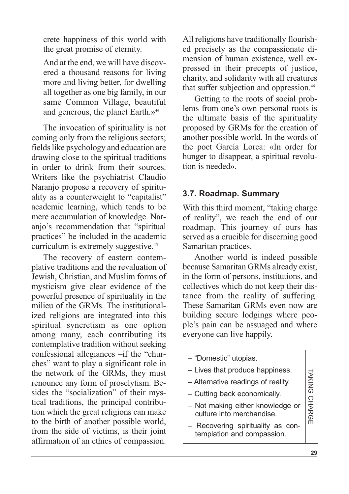crete happiness of this world with the great promise of eternity.

And at the end, we will have discovered a thousand reasons for living more and living better, for dwelling all together as one big family, in our same Common Village, beautiful and generous, the planet Earth.»<sup>44</sup>

The invocation of spirituality is not coming only from the religious sectors; fields like psychology and education are drawing close to the spiritual traditions in order to drink from their sources. Writers like the psychiatrist Claudio Naranjo propose a recovery of spirituality as a counterweight to "capitalist" academic learning, which tends to be mere accumulation of knowledge. Naranjo's recommendation that "spiritual practices" be included in the academic curriculum is extremely suggestive. 45

The recovery of eastern contemplative traditions and the revaluation of Jewish, Christian, and Muslim forms of mysticism give clear evidence of the powerful presence of spirituality in the milieu of the GRMs. The institutionalized religions are integrated into this spiritual syncretism as one option among many, each contributing its contemplative tradition without seeking confessional allegiances –if the "churches" want to play a significant role in the network of the GRMs, they must renounce any form of proselytism. Besides the "socialization" of their mystical traditions, the principal contribution which the great religions can make to the birth of another possible world, from the side of victims, is their joint affirmation of an ethics of compassion. All religions have traditionally flourished precisely as the compassionate dimension of human existence, well expressed in their precepts of justice, charity, and solidarity with all creatures that suffer subjection and oppression.<sup>46</sup>

Getting to the roots of social problems from one's own personal roots is the ultimate basis of the spirituality proposed by GRMs for the creation of another possible world. In the words of the poet García Lorca: «In order for hunger to disappear, a spiritual revolution is needed».

## **3.7. Roadmap. Summary**

With this third moment, "taking charge of reality", we reach the end of our roadmap. This journey of ours has served as a crucible for discerning good Samaritan practices.

Another world is indeed possible because Samaritan GRMs already exist, in the form of persons, institutions, and collectives which do not keep their distance from the reality of suffering. These Samaritan GRMs even now are building secure lodgings where people's pain can be assuaged and where everyone can live happily.

– "Domestic" utopias. – Lives that produce happiness. – Alternative readings of reality. – Cutting back economically. – Not making either knowledge or culture into merchandise. – Recovering spirituality as contemplation and compassion. TA KIN G CHA R GE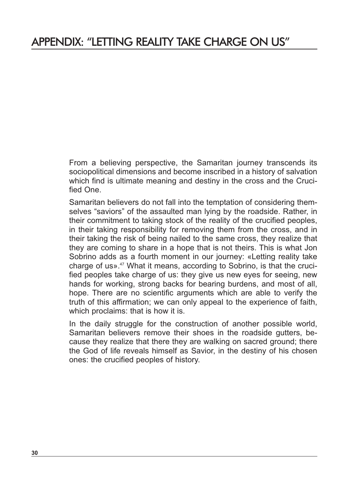# APPENDIX: "LETTING REALITY TAKE CHARGE ON US"

From a believing perspective, the Samaritan journey transcends its sociopolitical dimensions and become inscribed in a history of salvation which find is ultimate meaning and destiny in the cross and the Crucified One.

Samaritan believers do not fall into the temptation of considering themselves "saviors" of the assaulted man lying by the roadside. Rather, in their commitment to taking stock of the reality of the crucified peoples, in their taking responsibility for removing them from the cross, and in their taking the risk of being nailed to the same cross, they realize that they are coming to share in a hope that is not theirs. This is what Jon Sobrino adds as a fourth moment in our journey: «Letting reality take charge of us». $47$  What it means, according to Sobrino, is that the crucified peoples take charge of us: they give us new eyes for seeing, new hands for working, strong backs for bearing burdens, and most of all, hope. There are no scientific arguments which are able to verify the truth of this affirmation; we can only appeal to the experience of faith, which proclaims: that is how it is.

In the daily struggle for the construction of another possible world, Samaritan believers remove their shoes in the roadside gutters, because they realize that there they are walking on sacred ground; there the God of life reveals himself as Savior, in the destiny of his chosen ones: the crucified peoples of history.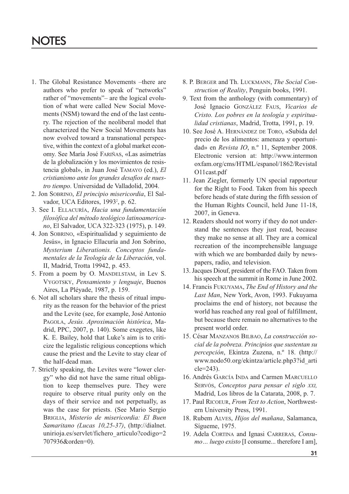- 1. The Global Resistance Movements –there are authors who prefer to speak of "networks" rather of "movements"– are the logical evolution of what were called New Social Movements (NSM) toward the end of the last century. The rejection of the neoliberal model that characterized the New Social Movements has now evolved toward a transnational perspective, within the context of a global market economy. See María José FARIÑAS, «Las asimetrías de la globalización y los movimientos de resistencia global», in Juan José TAMAYO (ed.), *El cristianismo ante los grandes desafíos de nuestro tiempo*. Universidad de Valladolid, 2004.
- 2. Jon SOBRINO, *El principio misericordia*, El Salvador, UCA Editores, 1993<sup>2</sup>, p. 62.
- 3. See I. ELLACURÍA, *Hacia una fundamentación filosófica del método teológico latinoamericano*, El Salvador, UCA 322-323 (1975), p. 149.
- 4. Jon SOBRINO, «Espiritualidad y seguimiento de Jesús», in Ignacio Ellacuría and Jon Sobrino, *Mysterium Liberationis. Conceptos fundamentales de la Teología de la Liberación*, vol. II, Madrid, Trotta 19942, p. 453.
- 5. From a poem by O. MANDELSTAM, in Lev S. VYGOTSKY, *Pensamiento y lenguaje*, Buenos Aires, La Pléyade, 1987, p. 159.
- 6. Not all scholars share the thesis of ritual impurity as the reason for the behavior of the priest and the Levite (see, for example, José Antonio PAGOLA, *Jesús. Aproximación histórica*, Madrid, PPC, 2007, p. 140). Some exegetes, like K. E. Bailey, hold that Luke's aim is to criticize the legalistic religious conceptions which cause the priest and the Levite to stay clear of the half-dead man.
- 7. Strictly speaking, the Levites were "lower clergy" who did not have the same ritual obligation to keep themselves pure. They were require to observe ritual purity only on the days of their service and not perpetually, as was the case for priests. (See Mario Sergio BRIGLIA, *Misterio de misericordia: El Buen Samaritano (Lucas 10,25-37)*, (http://dialnet. unirioja.es/servlet/fichero\_articulo?codigo=2 707936&orden=0).
- 8. P. BERGER and Th. LUCKMANN, *The Social Construction of Reality*, Penguin books, 1991.
- 9. Text from the anthology (with commentary) of José Ignacio GONZÁLEZ FAUS, *Vicarios de Cristo. Los pobres en la teología y espiritualidad cristianas*, Madrid, Trotta, 1991, p. 19.
- 10. See José A. HERNÁNDEZ DE TORO, «Subida del precio de los alimentos: amenaza y oportunidad» en *Revista IO*, n.º 11, September 2008. Electronic version at: http://www.intermon oxfam.org/cms/HTML/espanol/1862/RevistaI O11cast.pdf
- 11. Jean Ziegler, formerly UN special rapporteur for the Right to Food. Taken from his speech before heads of state during the fifth session of the Human Rights Council, held June 11-18, 2007, in Geneva.
- 12. Readers should not worry if they do not understand the sentences they just read, because they make no sense at all. They are a comical recreation of the incomprehensible language with which we are bombarded daily by newspapers, radio, and television.
- 13. Jacques Diouf, president of the FAO. Taken from his speech at the summit in Rome in June 2002.
- 14. Francis FUKUYAMA, *The End of History and the Last Man*, New York, Avon, 1993. Fukuyama proclaims the end of history, not because the world has reached any real goal of fulfillment, but because there remain no alternatives to the present world order.
- 15. César MANZANOS BILBAO, *La construcción social de la pobreza. Principios que sustentan su percepción*, Ekintza Zuzena, n.º 18. (http:// www.nodo50.org/ekintza/article.php3?id\_arti  $cle = 243$
- 16. Andrés GARCÍA INDA and Carmen MARCUELLO SERVÓS, *Conceptos para pensar el siglo XXI,* Madrid, Los libros de la Catarata, 2008, p. 7.
- 17. Paul RICOEUR, *From Text to Action*, Northwestern University Press, 1991.
- 18. Rubem ALVES, *Hijos del mañana*, Salamanca, Sígueme, 1975.
- 19. Adela CORTINA and Ignasi CARRERAS, *Consumo… luego existo* [I consume... therefore I am],